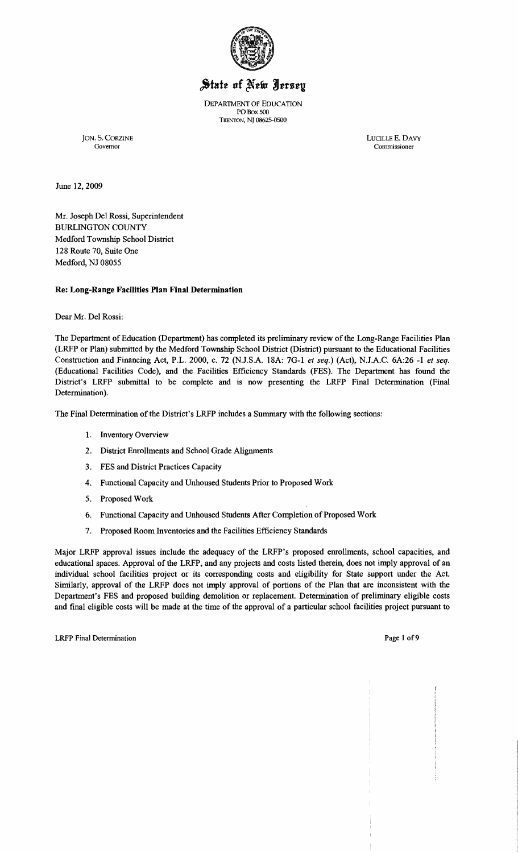

# State of New Jersey

DEPARTMENT OF EDUCATION POBox 500 TRENTON, NJ 08625-0500

JON. S. CORZINE LUCILLE E. DAVY Governor Commissioner Governor Commissioner

June 12,2009

Mr. Joseph Del Rossi, Superintendent BURLINGTON COUNTY Medford Township School District 128 Route 70, Suite One Medford, NJ 08055

# **Re: Long-Range Facilities Plan Final Determination**

Dear Mr. Del Rossi:

The Department of Education (Department) has completed its preliminary review of the Long-Range Facilities Plan (LRFP or Plan) submitted by the Medford Township School District (District) pursuant to the Educational Facilities Construction and Financing Act, P.L. 2000, c. 72 (NJ.S.A. 18A: 7G-1 *et seq.)* (Act), N.J.A.C. 6A:26 -1 *et seq.*  (Educational Facilities Code), and the Facilities Efficiency Standards (FES). The Department has found the District's LRFP submittal to be complete and is now presenting the LRFP Final Determination (Final Determination).

The Final Determination of the District's LRFP includes a Summary with the following sections:

- 1. Inventory Overview
- 2. District Enrollments and School Grade Alignments
- 3. FES and District Practices Capacity
- 4. Functional Capacity and Unhoused Students Prior to Proposed Work
- 5. Proposed Work
- 6. Functional Capacity and Unhoused Students After Completion of Proposed Work
- 7. Proposed Room Inventories and the Facilities Efficiency Standards

Major LRFP approval issues include the adequacy of the LRFP's proposed enrollments, school capacities, and educational spaces. Approval of the LRFP, and any projects and costs listed therein, does not imply approval of an individual school facilities project or its corresponding costs and eligibility for State support under the Act. Similarly, approval of the LRFP does not imply approval of portions of the Plan that are inconsistent with the Department's FES and proposed building demolition or replacement. Determination of preliminary eligible costs and final eligible costs will be made at the time of the approval of a particular school facilities project pursuant to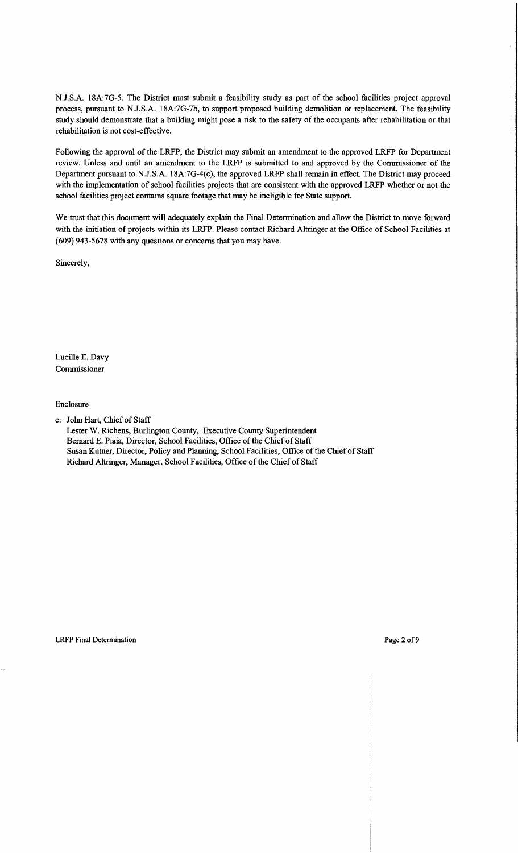N.J.S.A. 18A:7G-5. The District must submit a feasibility study as part of the school facilities project approval process, pursuant to N.J.S.A. 18A:7G-7b, to support proposed building demolition or replacement. The feasibility study should demonstrate that a building might pose a risk to the safety of the occupants after rehabilitation or that rehabilitation is not cost-effective.

Following the approval of the LRFP, the District may submit an amendment to the approved LRFP for Department review. Unless and until an amendment to the LRFP is submitted to and approved by the Commissioner of the Department pursuant to NJ.S.A. 18A:7G-4(c), the approved LRFP shall remain in effect. The District may proceed with the implementation of school facilities projects that are consistent with the approved LRFP whether or not the school facilities project contains square footage that may be ineligible for State support.

We trust that this document will adequately explain the Final Determination and allow the District to move forward with the initiation of projects within its LRFP. Please contact Richard Altringer at the Office of School Facilities at (609) 943-5678 with any questions or concerns that you may have.

Sincerely,

Lucille E. Davy Commissioner

Enclosure

c: John Hart, Chief of Staff Lester W. Richens, Burlington County, Executive County Superintendent Bernard E. Piaia, Director, School Facilities, Office of the Chief of Staff Susan Kutner, Director, Policy and Planning, School Facilities, Office of the Chief of Staff Richard Altringer, Manager, School Facilities, Office of the Chief of Staff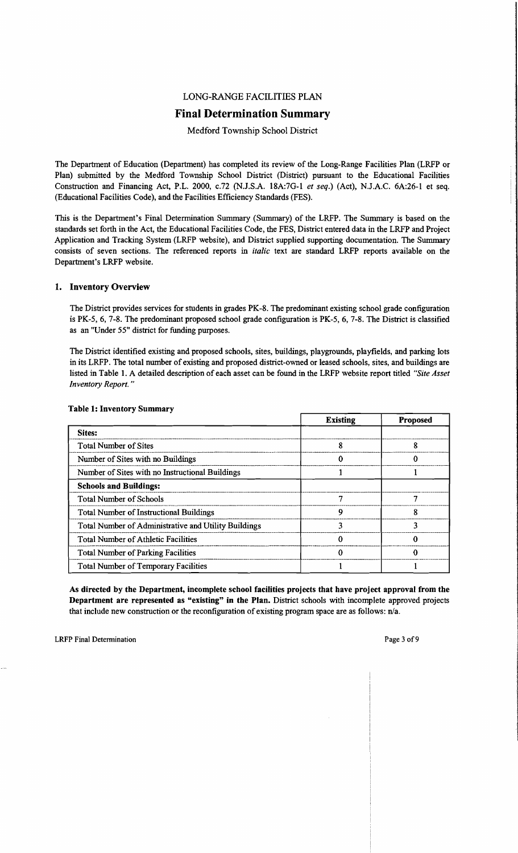### LONG-RANGE FACILITIES PLAN

# **Final Determination Summary**

Medford Township School District

The Department of Education (Department) has completed its review of the Long-Range Facilities Plan (LRFP or Plan) submitted by the Medford Township School District (District) pursuant to the Educational Facilities Construction and Financing Act, P.L. 2000, *c.n* (N.J.S.A. 18A:7G-l *et seq.)* (Act), NJ.A.C. 6A:26-1 et seq. (Educational Facilities Code), and the Facilities Efficiency Standards (FES).

This is the Department's Final Determination Summary (Summary) of the LRFP. The Summary is based on the standards set forth in the Act, the Educational Facilities Code, the FES, District entered data in the LRFP and Project Application and Tracking System (LRFP website), and District supplied supporting documentation. The Summary consists of seven sections. The referenced reports in *italic* text are standard LRFP reports available on the Department's LRFP website.

#### 1. Inventory Overview

The District provides services for students in grades PK-8. The predominant existing school grade configuration is PK-5, 6, 7-8. The predominant proposed school grade configuration is PK-5, 6, 7-8. The District is classified as an "Under 55" district for funding purposes.

The District identified existing and proposed schools, sites, buildings, playgrounds, playfields, and parking lots in its LRFP. The total number of existing and proposed district-owned or leased schools, sites, and buildings are listed in Table 1. A detailed description of each asset can be found in the LRFP website report titled *"Site Asset Inventory Report. "* 

|                                                      | <b>Existing</b> | <b>Proposed</b> |
|------------------------------------------------------|-----------------|-----------------|
| Sites:                                               |                 |                 |
| <b>Total Number of Sites</b>                         |                 | 8               |
| Number of Sites with no Buildings                    |                 |                 |
| Number of Sites with no Instructional Buildings      |                 |                 |
| <b>Schools and Buildings:</b>                        |                 |                 |
| <b>Total Number of Schools</b>                       |                 |                 |
| <b>Total Number of Instructional Buildings</b>       | Q               | Я               |
| Total Number of Administrative and Utility Buildings |                 |                 |
| <b>Total Number of Athletic Facilities</b>           |                 |                 |
| <b>Total Number of Parking Facilities</b>            |                 |                 |
| Total Number of Temporary Facilities                 |                 |                 |

#### Table 1: Inventory Summary

As directed by the Department, incomplete school facilities projects that have project approval from the Department are represented as "existing" in the Plan. District schools with incomplete approved projects that include new construction or the reconfiguration of existing program space are as follows: n/a.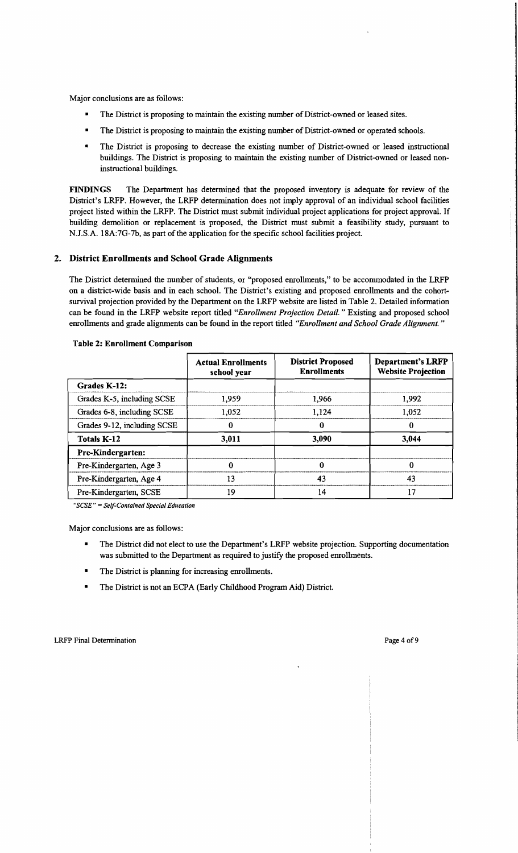Major conclusions are as follows:

- The District is proposing to maintain the existing number of District-owned or leased sites.
- The District is proposing to maintain the existing number of District-owned or operated schools.
- The District is proposing to decrease the existing number of District-owned or leased instructional buildings. The District is proposing to maintain the existing number of District-owned or leased noninstructional buildings.

FINDINGS The Department has determined that the proposed inventory is adequate for review of the District's LRFP. However, the LRFP determination does not imply approval of an individual school facilities project listed within the LRFP. The District must submit individual project applications for project approval. If building demolition or replacement is proposed, the District must submit a feasibility study, pursuant to N.J.S.A. 18A:7G-7b, as part of the application for the specific school facilities project.

#### 2. District Enrollments and School Grade Alignments

The District determined the number of students, or "proposed enrollments," to be accommodated in the LRFP on a district-wide basis and in each school. The District's existing and proposed enrollments and the cohortsurvival projection provided by the Department on the LRFP website are listed in Table 2. Detailed information can be found in the LRFP website report titled *"Enrollment Projection Detail.* " Existing and proposed school enrollments and grade alignments can be found in the report titled *"Enrollment and School Grade Alignment. "* 

|                             | <b>Actual Enrollments</b><br>school year | <b>District Proposed</b><br><b>Enrollments</b> | <b>Department's LRFP</b><br><b>Website Projection</b> |  |
|-----------------------------|------------------------------------------|------------------------------------------------|-------------------------------------------------------|--|
| Grades K-12:                |                                          |                                                |                                                       |  |
| Grades K-5, including SCSE  | 1,959                                    | 1.966                                          | 1,992                                                 |  |
| Grades 6-8, including SCSE  | 1,052                                    | 1,124                                          | 1,052                                                 |  |
| Grades 9-12, including SCSE |                                          |                                                | 0                                                     |  |
| <b>Totals K-12</b>          | 3.011                                    | 3,090                                          | 3.044                                                 |  |
| Pre-Kindergarten:           |                                          |                                                |                                                       |  |
| Pre-Kindergarten, Age 3     | 0                                        |                                                | ∩                                                     |  |
| Pre-Kindergarten, Age 4     | 13                                       | 43                                             | 43                                                    |  |
| Pre-Kindergarten, SCSE      | 19                                       | 14                                             | 17                                                    |  |

#### Table 2: Enrollment Comparison

*"SCSE"* = *Self-Contained Special Education* 

Major conclusions are as follows:

- The District did not elect to use the Department's LRFP website projection. Supporting documentation was submitted to the Department as required to justify the proposed enrollments.
- **•** The District is planning for increasing enrollments.
- The District is not an ECPA (Early Childhood Program Aid) District.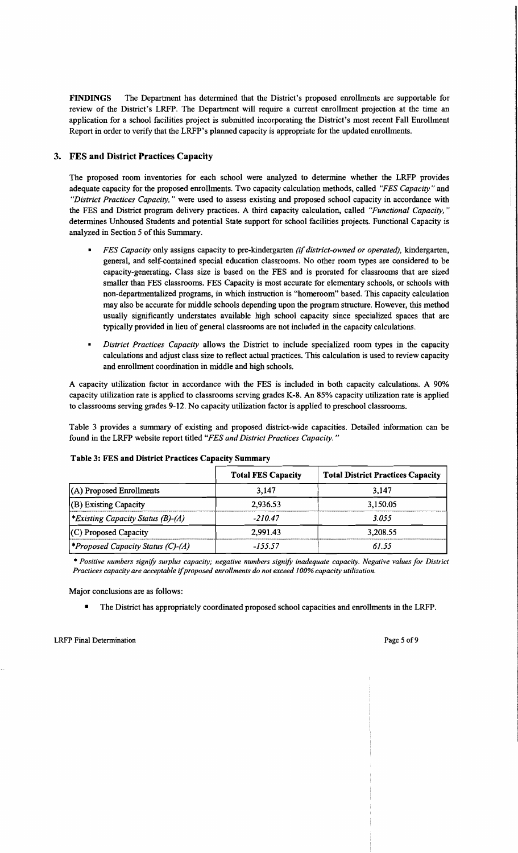FINDINGS The Department has determined that the District's proposed emollments are supportable for review of the District's LRFP. The Department will require a current emollment projection at the time an application for a school facilities project is submitted incorporating the District's most recent Fall Emollment Report in order to verify that the LRFP's planned capacity is appropriate for the updated emollments.

# 3. FES and District Practices Capacity

The proposed room inventories for each school were analyzed to determine whether the LRFP provides adequate capacity for the proposed emollments. Two capacity calculation methods, called *"FES Capacity"* and *"District Practices Capacity,* " were used to assess existing and proposed school capacity in accordance with the FES and District program delivery practices. A third capacity calculation, called *"Functional Capacity, "*  determines Unhoused Students and potential State support for school facilities projects. Functional Capacity is analyzed in Section 5 of this Summary.

- *FES Capacity* only assigns capacity to pre-kindergarten *(if district-owned or operated),* kindergarten, general, and self-contained special education classrooms. No other room types are considered to be capacity-generating. Class size is based on the FES and is prorated for classrooms that are sized smaller than FES classrooms. FES Capacity is most accurate for elementary schools, or schools with non-departmentalized programs, in which instruction is "homeroom" based. This capacity calculation may also be accurate for middle schools depending upon the program structure. However, this method usually significantly understates available high school capacity since specialized spaces that are typically provided in lieu of general classrooms are not included in the capacity calculations.
- *District Practices Capacity* allows the District to include specialized room types in the capacity calculations and adjust class size to reflect actual practices. This calculation is used to review capacity and emollment coordination in middle and high schools.

A capacity utilization factor in accordance with the FES is included in both capacity calculations. A 90% capacity utilization rate is applied to classrooms serving grades K-8. An 85% capacity utilization rate is applied to classrooms serving grades 9-12. No capacity utilization factor is applied to preschool classrooms.

Table 3 provides a summary of existing and proposed district-wide capacities. Detailed information can be found in the LRFP website report titled *"FES and District Practices Capacity. "* 

| Table 3: FES and District Practices Capacity Summary |                           |                                          |  |  |  |
|------------------------------------------------------|---------------------------|------------------------------------------|--|--|--|
|                                                      | <b>Total FES Capacity</b> | <b>Total District Practices Capacity</b> |  |  |  |
| (A) Proposed Enrollments                             | 3,147                     | 3.147                                    |  |  |  |
| (B) Existing Capacity                                | 2,936.53                  | 3,150.05                                 |  |  |  |
| *Existing Capacity Status (B)-(A)                    | $-210.47$                 | 3.055                                    |  |  |  |
| (C) Proposed Capacity                                | 2,991.43                  | 3,208.55                                 |  |  |  |
| <i>Proposed Capacity Status (C)-(A)</i>              | $-155.57$                 | 61.55                                    |  |  |  |

#### Table 3: FES and District Practices Capacity Summary

'" *Positive numbers signify surplus capacity; negative numbers signify inadequate capacity. Negative values for District Practices capacity are acceptable ifproposed enrollments do not exceed* J*00% capacity utilization.* 

Major conclusions are as follows:

• The District has appropriately coordinated proposed school capacities and emollments in the LRFP.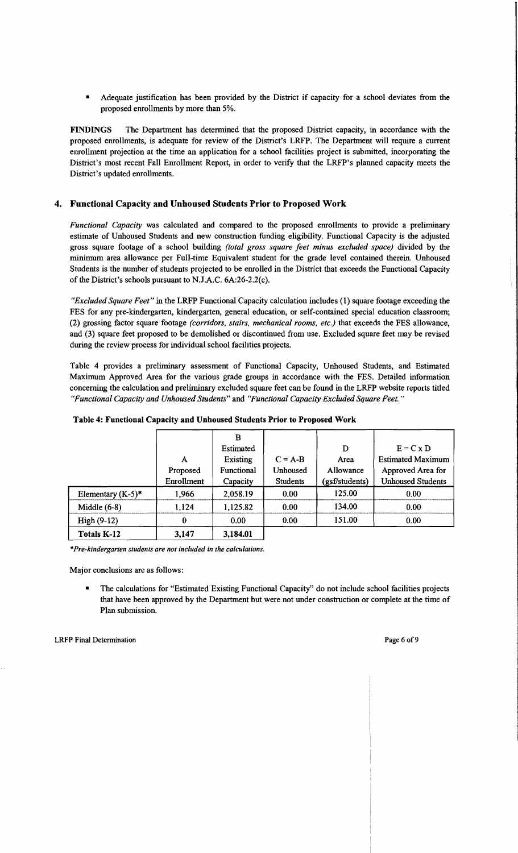Adequate justification has been provided by the District if capacity for a school deviates from the proposed enrollments by more than 5%.

FINDINGS The Department has determined that the proposed District capacity, in accordance with the proposed enrollments, is adequate for review of the District's LRFP. The Department will require a current enrollment projection at the time an application for a school facilities project is submitted, incorporating the District's most recent Fall Enrollment Report, in order to verify that the LRFP's planned capacity meets the District's updated enrollments.

## 4. Functional Capacity and Unhoused Students Prior to Proposed Work

*Functional Capacity* was calculated and compared to the proposed enrollments to provide a preliminary estimate of Unhoused Students and new construction funding eligibility. Functional Capacity is the adjusted gross square footage of a school building *(total gross square feet minus excluded space)* divided by the minimum area allowance per Full-time Equivalent student for the grade level contained therein. Unhoused Students is the number of students projected to be enrolled in the District that exceeds the Functional Capacity of the District's schools pursuant to N.J.A.C. 6A:26-2.2(c).

*"Excluded Square Feet"* in the LRFP Functional Capacity calculation includes (I) square footage exceeding the FES for any pre-kindergarten, kindergarten, general education, or self-contained special education classroom; (2) grossing factor square footage *(corridors, stairs, mechanical rooms, etc.)* that exceeds the FES allowance, and (3) square feet proposed to be demolished or discontinued from use. Excluded square feet may be revised during the review process for individual school facilities projects.

Table 4 provides a preliminary assessment of Functional Capacity, Unhoused Students, and Estimated Maximum Approved Area for the various grade groups in accordance with the FES. Detailed information concerning the calculation and preliminary excluded square feet can be found in the LRFP website reports titled *"Functional Capacity and Unhoused Students"* and *"Functional Capacity Excluded Square Feet. "* 

|                      |            | B          |                 |                |                          |
|----------------------|------------|------------|-----------------|----------------|--------------------------|
|                      |            | Estimated  |                 | D              | $E = C x D$              |
|                      | A          | Existing   | $C = A-B$       | Area           | <b>Estimated Maximum</b> |
|                      | Proposed   | Functional | <b>Unhoused</b> | Allowance      | Approved Area for        |
|                      | Enrollment | Capacity   | Students        | (gsf/students) | <b>Unhoused Students</b> |
| Elementary $(K-5)^*$ | 1,966      | 2,058.19   | 0.00            | 125.00         | 0.00                     |
| Middle $(6-8)$       | 1,124      | 1,125.82   | 0.00            | 134.00         | 0.00                     |
| $High(9-12)$         | 0          | 0.00       | 0.00            | 151.00         | 0.00                     |
| Totals K-12          | 3,147      | 3,184.01   |                 |                |                          |

#### Table 4: Functional Capacity and Unhoused Students Prior to Proposed Work

*·Pre-kindergarten students are not included in the calculations.* 

Major conclusions are as follows:

The calculations for "Estimated Existing Functional Capacity" do not include school facilities projects that have been approved by the Department but were not under construction or complete at the time of Plan submission.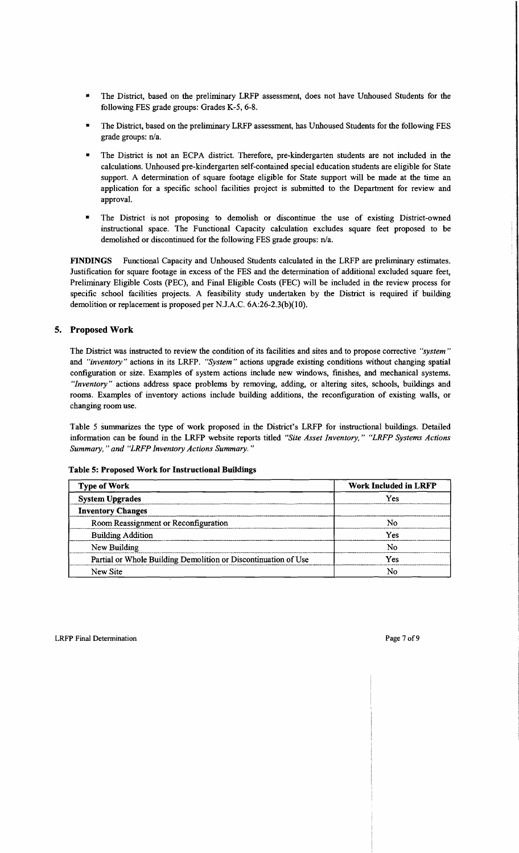- • The District, based on the preliminary LRFP assessment, does not have Unhoused Students for the following FES grade groups: Grades K-5, 6-8.
- The District, based on the preliminary LRFP assessment, has Unhoused Students for the following FES grade groups: n/a.
- The District is not an ECPA district. Therefore, pre-kindergarten students are not included in the calculations. Unhoused pre-kindergarten self-contained special education students are eligible for State support. A determination of square footage eligible for State support will be made at the time an application for a specific school facilities project is submitted to the Department for review and approval.
- The District is not proposing to demolish or discontinue the use of existing District-owned instructional space. The Functional Capacity calculation excludes square feet proposed to be demolished or discontinued for the following FES grade groups: n/a.

FINDINGS Functional Capacity and Unhoused Students calculated in the LRFP are preliminary estimates. Justification for square footage in excess of the FES and the determination of additional excluded square feet, Preliminary Eligible Costs (PEC), and Final Eligible Costs (FEC) will be included in the review process for specific school facilities projects. A feasibility study undertaken by the District is required if building demolition or replacement is proposed per NJ.A.C. 6A:26-2.3(b)(1O).

## s. Proposed Work

The District was instructed to review the condition of its facilities and sites and to propose corrective *"system"*  and *"inventory"* actions in its LRFP. *"System"* actions upgrade existing conditions without changing spatial configuration or size. Examples of system actions include new windows, finishes, and mechanical systems. *"Inventory"* actions address space problems by removing, adding, or altering sites, schools, buildings and rooms. Examples of inventory actions include building additions, the reconfiguration of existing walls, or changing room use.

Table 5 summarizes the type of work proposed in the District's LRFP for instructional buildings. Detailed information can be found in the LRFP website reports titled *"Site Asset Inventory," "LRFP Systems Actions Summary,* " *and "LRFP Inventory Actions Summary. "* 

#### Table 5: Proposed Work for Instructional Buildings

| <b>Type of Work</b>                                            | Work Included in LRFP |  |  |
|----------------------------------------------------------------|-----------------------|--|--|
| <b>System Upgrades</b>                                         | Yes                   |  |  |
| <b>Inventory Changes</b>                                       |                       |  |  |
| Room Reassignment or Reconfiguration                           | N٥                    |  |  |
| <b>Building Addition</b>                                       | Yes                   |  |  |
| New Building                                                   | No                    |  |  |
| Partial or Whole Building Demolition or Discontinuation of Use | Yes                   |  |  |
| New Site                                                       | N٥                    |  |  |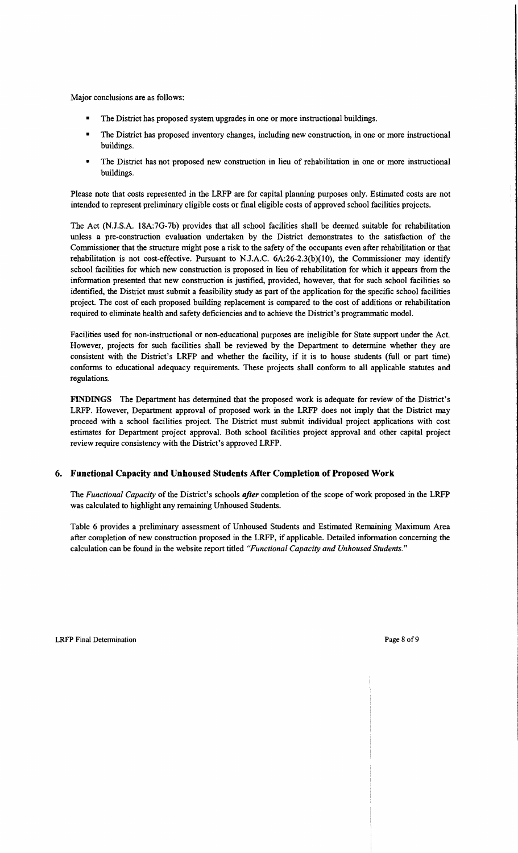Major conclusions are as follows:

- The District has proposed system upgrades in one or more instructional buildings.
- The District has proposed inventory changes, including new construction, in one or more instructional buildings.
- The District has not proposed new construction in lieu of rehabilitation in one or more instructional buildings.

Please note that costs represented in the LRFP are for capital planning purposes only. Estimated costs are not intended to represent preliminary eligible costs or final eligible costs of approved school facilities projects.

The Act (N.J.S.A. l8A:7G-7b) provides that all school facilities shall be deemed suitable for rehabilitation unless a pre-construction evaluation undertaken by the District demonstrates to the satisfaction of the Commissioner that the structure might pose a risk to the safety of the occupants even after rehabilitation or that rehabilitation is not cost-effective. Pursuant to NJ.A.C. 6A:26-2.3(b)(1O), the Commissioner may identify school facilities for which new construction is proposed in lieu of rehabilitation for which it appears from the information presented that new construction is justified, provided, however, that for such school facilities so identified, the District must submit a feasibility study as part of the application for the specific school facilities project. The cost of each proposed building replacement is compared to the cost of additions or rehabilitation required to eliminate health and safety deficiencies and to achieve the District's programmatic model.

Facilities used for non-instructional or non-educational purposes are ineligible for State support under the Act. However, projects for such facilities shall be reviewed by the Department to determine whether they are consistent with the District's LRFP and whether the facility, if it is to house students (full or part time) conforms to educational adequacy requirements. These projects shall conform to all applicable statutes and regulations.

FINDINGS The Department has determined that the proposed work is adequate for review of the District's LRFP. However, Department approval of proposed work in the LRFP does not imply that the District may proceed with a school facilities project. The District must submit individual project applications with cost estimates for Department project approval. Both school facilities project approval and other capital project review require consistency with the District's approved LRFP.

# 6. Functional Capacity and Unhoused Students After Completion of Proposed Work

The *Functional Capacity* of the District's schools *after* completion of the scope of work proposed in the LRFP was calculated to highlight any remaining Unhoused Students.

Table 6 provides a preliminary assessment of Unhoused Students and Estimated Remaining Maximum Area after completion of new construction proposed in the LRFP, if applicable. Detailed information concerning the calculation can be found in the website report titled *"Functional Capacity and Unhoused Students."*